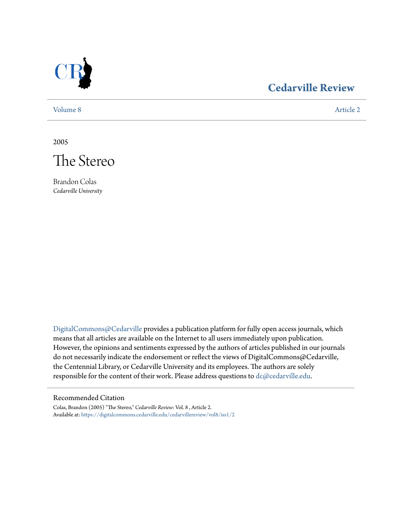

### **[Cedarville Review](https://digitalcommons.cedarville.edu/cedarvillereview?utm_source=digitalcommons.cedarville.edu%2Fcedarvillereview%2Fvol8%2Fiss1%2F2&utm_medium=PDF&utm_campaign=PDFCoverPages)**

[Volume 8](https://digitalcommons.cedarville.edu/cedarvillereview/vol8?utm_source=digitalcommons.cedarville.edu%2Fcedarvillereview%2Fvol8%2Fiss1%2F2&utm_medium=PDF&utm_campaign=PDFCoverPages) [Article 2](https://digitalcommons.cedarville.edu/cedarvillereview/vol8/iss1/2?utm_source=digitalcommons.cedarville.edu%2Fcedarvillereview%2Fvol8%2Fiss1%2F2&utm_medium=PDF&utm_campaign=PDFCoverPages)

2005



Brandon Colas *Cedarville University*

[DigitalCommons@Cedarville](http://digitalcommons.cedarville.edu) provides a publication platform for fully open access journals, which means that all articles are available on the Internet to all users immediately upon publication. However, the opinions and sentiments expressed by the authors of articles published in our journals do not necessarily indicate the endorsement or reflect the views of DigitalCommons@Cedarville, the Centennial Library, or Cedarville University and its employees. The authors are solely responsible for the content of their work. Please address questions to [dc@cedarville.edu](mailto:dc@cedarville.edu).

#### Recommended Citation

Colas, Brandon (2005) "The Stereo," *Cedarville Review*: Vol. 8 , Article 2. Available at: [https://digitalcommons.cedarville.edu/cedarvillereview/vol8/iss1/2](https://digitalcommons.cedarville.edu/cedarvillereview/vol8/iss1/2?utm_source=digitalcommons.cedarville.edu%2Fcedarvillereview%2Fvol8%2Fiss1%2F2&utm_medium=PDF&utm_campaign=PDFCoverPages)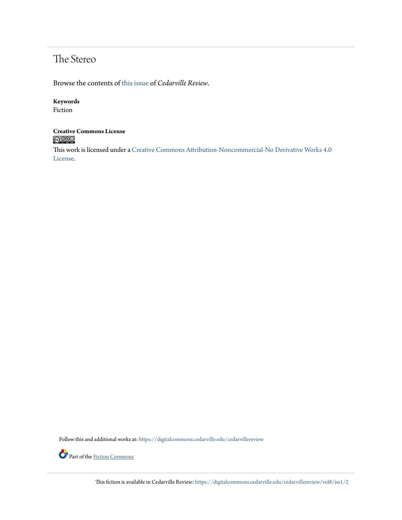## The Stereo

Browse the contents of [this issue](https://digitalcommons.cedarville.edu/cedarvillereview/vol8/iss1) of *Cedarville Review*.

#### **Keywords**

Fiction

## **Creative Commons License**

This work is licensed under a [Creative Commons Attribution-Noncommercial-No Derivative Works 4.0](http://creativecommons.org/licenses/by-nc-nd/4.0/) [License.](http://creativecommons.org/licenses/by-nc-nd/4.0/)

Follow this and additional works at: [https://digitalcommons.cedarville.edu/cedarvillereview](https://digitalcommons.cedarville.edu/cedarvillereview?utm_source=digitalcommons.cedarville.edu%2Fcedarvillereview%2Fvol8%2Fiss1%2F2&utm_medium=PDF&utm_campaign=PDFCoverPages)



Part of the <u>[Fiction Commons](http://network.bepress.com/hgg/discipline/1151?utm_source=digitalcommons.cedarville.edu%2Fcedarvillereview%2Fvol8%2Fiss1%2F2&utm_medium=PDF&utm_campaign=PDFCoverPages)</u>

This fiction is available in Cedarville Review: [https://digitalcommons.cedarville.edu/cedarvillereview/vol8/iss1/2](https://digitalcommons.cedarville.edu/cedarvillereview/vol8/iss1/2?utm_source=digitalcommons.cedarville.edu%2Fcedarvillereview%2Fvol8%2Fiss1%2F2&utm_medium=PDF&utm_campaign=PDFCoverPages)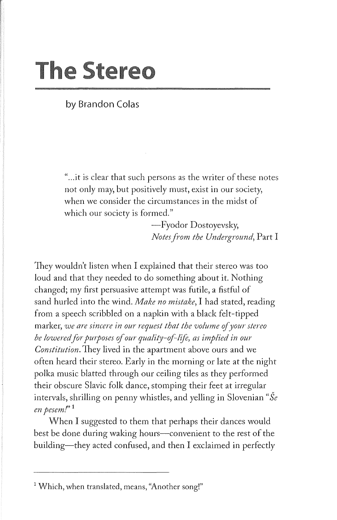# **The Stereo**

**by Brandon Colas** 

'' ... it is clear that such persons as the writer of these notes not only may, but positively must, exist in our society, when we consider the circumstances in the midst of which our society is formed."

> -Fyodor Dostoyevsky, *Notes from the Underground,* Part I

They wouldn't listen when I explained that their stereo was too loud and that they needed to do something about it. Nothing changed; my first persuasive attempt was futile, a fistful of sand hurled into the wind. *Make no mistake,* I had stated, reading from a speech scribbled on a napkin with a black felt-tipped marker, *we are sincere in our request that the volume of your stereo* be lowered for purposes of our quality-of-life, as implied in our *Constitution.* They lived in the apartment above ours and we often heard their stereo. Early in the morning or late at the night polka music blatted through our ceiling tiles as they performed their obscure Slavic folk dance, stomping their feet at irregular intervals, shrilling on penny whistles, and yelling in Slovenian *"Se en pesem.r'* <sup>1</sup>

When I suggested to them that perhaps their dances would best be done during waking hours-convenient to the rest of the building—they acted confused, and then I exclaimed in perfectly

<sup>&</sup>lt;sup>1</sup> Which, when translated, means, "Another song!"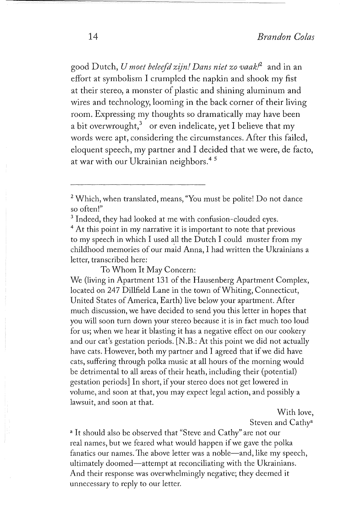good Dutch, *U moet beleefd zijnl Dans niet zo vaak/2* and in an effort at symbolism I crumpled the napkin and shook my fist at their stereo, a monster of plastic and shining aluminum and wires and technology, looming in the back corner of their living room. Expressing my thoughts so dramatically may have been a bit overwrought,<sup>3</sup> or even indelicate, yet I believe that my words were apt, considering the circumstances. After this failed, eloquent speech, my partner and I decided that we were, de facto, at war with our Ukrainian neighbors.<sup>45</sup>

- <sup>2</sup>Which, when translated, means, ''You must be polite! Do not dance so often!"<br><sup>3</sup> Indeed, they had looked at me with confusion-clouded eyes.<br><sup>4</sup> At this point in my narrative it is important to note that previous
- 

to my speech in which I used all the Dutch I could muster from my childhood memories of our maid Anna, I had written the Ukrainians a letter, transcribed here:

To Whom It May Concern:

We (living in Apartment 131 of the Hausenberg Apartment Complex, located on 247 Dillfield Lane in the town of Whiting, Connecticut, United States of America, Earth) live below your apartment. After much discussion, we have decided to send you this letter in hopes that you will soon turn down your stereo because it is in fact much too loud for us; when we hear it blasting it has a negative effect on our cookery and our cat's gestation periods. [N .B.: At this point we did not actually have cats. However, both my partner and I agreed that if we did have cats, suffering through polka music at all hours of the morning would be detrimental to all areas of their heath, including their (potential) gestation periods] In short, if your stereo does not get lowered in volume, and soon at that, you may expect legal action, and possibly a lawsuit, and soon at that.

> With love, Steven and Cathy<sup>a</sup>

<sup>a</sup> It should also be observed that "Steve and Cathy" are not our real names, but we feared what would happen if we gave the polka fanatics our names. The above letter was a noble—and, like my speech, ultimately doomed-attempt at reconciliating with the Ukrainians. And their response was overwhelmingly negative; they deemed it unnecessary to reply to our letter.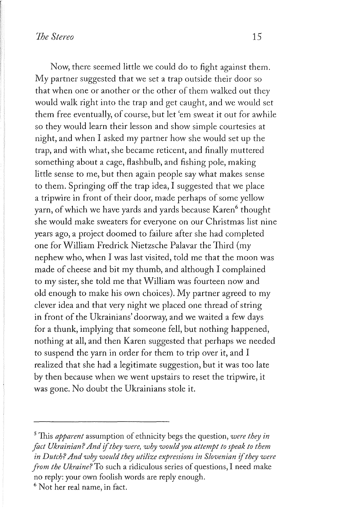Now, there seemed little we could do to fight against them. My partner suggested that we set a trap outside their door so that when one or another or the other of them walked out they would walk right into the trap and get caught, and we would set them free eventually, of course, but let 'em sweat it out for awhile so they would learn their lesson and show simple courtesies at night, and when I asked my partner how she would set up the trap, and with what, she became reticent, and finally muttered something about a cage, flashbulb, and fishing pole, making little sense to me, but then again people say what makes sense to them. Springing off the trap idea, I suggested that we place a tripwire in front of their door, made perhaps of some yellow yarn, of which we have yards and yards because Karen<sup>6</sup> thought she would make sweaters for everyone on our Christmas list nine years ago, a project doomed to failure after she had completed one for William Fredrick Nietzsche Palavar the Third (my nephew who, when I was last visited, told me that the moon was made of cheese and bit my thumb, and although I complained to my sister, she told me that William was fourteen now and old enough to make his own choices). My partner agreed to my clever idea and that very night we placed one thread of string in front of the Ukrainians' doorway, and we waited a few days for a thunk, implying that someone fell, but nothing happened, nothing at all, and then Karen suggested that perhaps we needed to suspend the yarn in order for them to trip over it, and I realized that she had a legitimate suggestion, but it was too late by then because when we went upstairs to reset the tripwire, it was gone. No doubt the Ukrainians stole it.

<sup>5</sup> This *apparent* assumption of ethnicity begs the question, *were they in fact Ukrainian? And* if *they were, why would you attempt to speak to them in Dutch? And why would they utilize expressions in Slovenian* if *they were from the Ukraine?* To such a ridiculous series of questions, I need make no reply: your own foolish words are reply enough.<br><sup>6</sup> Not her real name, in fact.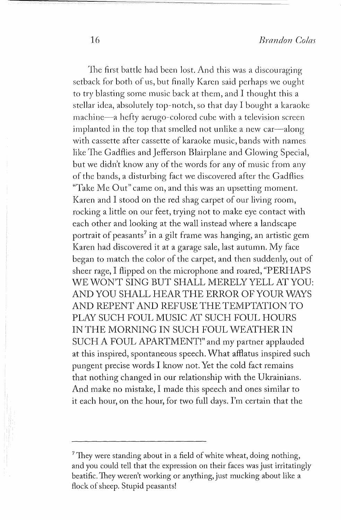The first battle had been lost. And this was a discouraging setback for both of us, but finally Karen said perhaps we ought to try blasting some music back at them, and I thought this a stellar idea, absolutely top-notch, so that day I bought a karaoke machine-a hefty aerugo-colored cube with a television screen implanted in the top that smelled not unlike a new car-along with cassette after cassette of karaoke music, bands with names like The Gadflies and Jefferson Blairplane and Glowing Special, but we didn't know any of the words for any of music from any of the bands, a disturbing fact we discovered after the Gadflies "Take Me Out" came on, and this was an upsetting moment. Karen and I stood on the red shag carpet of our living room, rocking a little on our feet, trying not to make eye contact with each other and looking at the wall instead where a landscape portrait of peasants<sup>7</sup> in a gilt frame was hanging, an artistic gem Karen had discovered it at a garage sale, last autumn. My face began to match the color of the carpet, and then suddenly, out of sheer rage, I flipped on the microphone and roared, "PERHAPS WE WON'T SING BUT SHALL MERELY YELL AT YOU: AND YOU SHALL HEAR THE ERROR OF YOUR WAYS AND REPENT AND REFUSE THE TEMPTATION TO PLAY SUCH FOUL MUSIC AT SUCH FOUL HOURS IN THE MORNING IN SUCH FOUL WEATHER IN SUCH A FOUL APARTMENT!" and my partner applauded at this inspired, spontaneous speech. What afflatus inspired such pungent precise words I know not. Yet the cold fact remains that nothing changed in our relationship with the Ukrainians. And make no mistake, I made this speech and ones similar to it each hour, on the hour, for two full days. I'm certain that the

<sup>&</sup>lt;sup>7</sup>They were standing about in a field of white wheat, doing nothing, and you could tell that the expression on their faces was just irritatingly beatific. They weren't working or anything, just mucking about like a flock of sheep. Stupid peasants!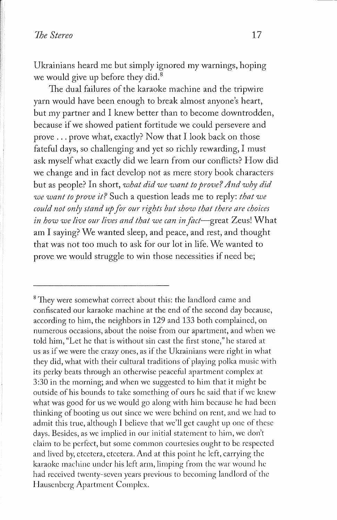Ukrainians heard me but simply ignored my warnings, hoping we would give up before they did.<sup>8</sup>

The dual failures of the karaoke machine and the tripwire yarn would have been enough to break almost anyone's heart, but my partner and I knew better than to become downtrodden, because if we showed patient fortitude we could persevere and prove ... prove what, exactly? Now that I look back on those fateful days, so challenging and yet so richly rewarding, I must ask myself what exactly did we learn from our conflicts? How did we change and in fact develop not as mere story book characters but as people? In short, *what did we want to prove? And why did we want to prove it?* Such a question leads me to reply: *that we could not only stand up for our rights but show that there are choices*  in how we live our lives and that we can in fact-great Zeus! What am I saying? We wanted sleep, and peace, and rest, and thought that was not too much to ask for our lot in life. We wanted to prove we would struggle to win those necessities if need be;

<sup>&</sup>lt;sup>8</sup> They were somewhat correct about this: the landlord came and confiscated our karaoke machine at the end of the second day because, according to him, the neighbors in 129 and 133 both complained, on numerous occasions, about the noise from our apartment, and when we told him, "Let he that is without sin cast the first stone," he stared at us as if we were the crazy ones, as if the Ukrainians were right in what they did, what with their cultural traditions of playing polka music with its perky beats through an otherwise peaceful apartment complex at 3:30 in the morning; and when we suggested to him that it might be outside of his bounds to take something of ours he said that if we knew what was good for us we would go along with him because he had been thinking of booting us out since we were behind on rent, and we had to admit this true, although I believe that we'll get caught up one of these days. Besides, as we implied in our initial statement to him, we don't claim to be perfect, but some common courtesies ought to be respected and lived by, etcetera, etcetera. And at this point he left, carrying the karaoke machine under his left arm, limping from the war wound he had received twenty-seven years previous to becoming landlord of the Hauscnbcrg Apartment Complex.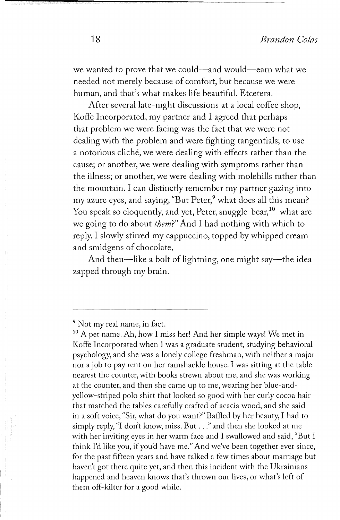we wanted to prove that we could-and would-earn what we needed not merely because of comfort, but because we were human, and that's what makes life beautiful. Etcetera.

After several late-night discussions at a local coffee shop, Koffe Incorporated, my partner and I agreed that perhaps that problem we were facing was the fact that we were not dealing with the problem and were fighting tangentials; to use a notorious cliché, we were dealing with effects rather than the cause; or another, we were dealing with symptoms rather than the illness; or another, we were dealing with molehills rather than the mountain. I can distinctly remember my partner gazing into my azure eyes, and saying, "But Peter,<sup>9</sup> what does all this mean? You speak so eloquently, and yet, Peter, snuggle-bear,<sup>10</sup> what are we going to do about *them?"* And I had nothing with which to reply. I slowly stirred my cappuccino, topped by whipped cream and smidgens of chocolate,

And then—like a bolt of lightning, one might say—the idea zapped through my brain.

 $9$  Not my real name, in fact.<br> $10$  A pet name. Ah, how I miss her! And her simple ways! We met in Koffe Incorporated when I was a graduate student, studying behavioral psychology, and she was a lonely college freshman, with neither a major nor a job to pay rent on her ramshackle house. I was sitting at the table nearest the counter, with books strewn about me, and she was working at the counter, and then she came up to me, wearing her blue-andyellow-striped polo shirt that looked so good with her curly cocoa hair that matched the tables carefully crafted of acacia wood, and she said in a soft voice, "Sir, what do you want?" Baffled by her beauty, I had to simply reply, "I don't know, miss. But . . ." and then she looked at me with her inviting eyes in her warm face and I swallowed and said, "But I think I'd like you, if you'd have me." And we've been together ever since, for the past fifteen years and have talked a few times about marriage but haven't got there quite yet, and then this incident with the Ukrainians happened and heaven knows that's thrown our lives, or what's left of them off-kilter for a good while.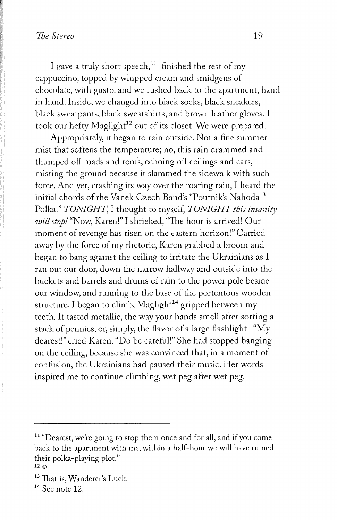I gave a truly short speech,<sup>11</sup> finished the rest of my cappuccino, topped by whipped cream and smidgens of chocolate, with gusto, and we rushed back to the apartment, hand in hand. Inside, we changed into black socks, black sneakers, black sweatpants, black sweatshirts, and brown leather gloves. I took our hefty Maglight<sup>12</sup> out of its closet. We were prepared.

Appropriately, it began to rain outside. Not a fine summer mist that softens the temperature; no, this rain drammed and thumped off roads and roofs, echoing off ceilings and cars, misting the ground because it slammed the sidewalk with such force. And yet, crashing its way over the roaring rain, I heard the initial chords of the Vanek Czech Band's "Poutnik's Nahoda<sup>13</sup> Polka." *TONIGHT,* I thought to myself, *TONIGHT this insanity will stop.I* "Now, Karen!" I shrieked, "The hour is arrived! Our moment of revenge has risen on the eastern horizon!" Carried away by the force of my rhetoric, Karen grabbed a broom and began to bang against the ceiling to irritate the Ukrainians as I ran out our door, down the narrow hallway and outside into the buckets and barrels and drums of rain to the power pole beside our window, and running to the base of the portentous wooden structure, I began to climb, Maglight<sup>14</sup> gripped between my teeth. It tasted metallic, the way your hands smell after sorting a stack of pennies, or, simply, the flavor of a large flashlight. "My dearest!" cried Karen. "Do be careful!" She had stopped banging on the ceiling, because she was convinced that, in a moment of confusion, the Ukrainians had paused their music. Her words inspired me to continue climbing, wet peg after wet peg.

 $11$  "Dearest, we're going to stop them once and for all, and if you come back to the apartment with me, within a half-hour we will have ruined their polka-playing plot."

 $13$  That is, Wanderer's Luck.<br> $14$  See note 12.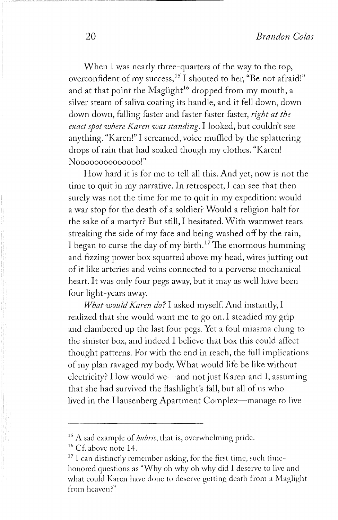When I was nearly three-quarters of the way to the top, overconfident of my success, 15 I shouted to her, "Be not afraid!" and at that point the Maglight<sup>16</sup> dropped from my mouth, a silver steam of saliva coating its handle, and it fell down, down down down, falling faster and faster faster faster, *right at the exact spot where Karen was standing.* I looked, but couldn't see anything. "Karen!" I screamed, voice muffled by the splattering drops of rain that had soaked though my clothes. "Karen! Noooooooooooo!"

How hard it is for me to tell all this. And yet, now is not the time to quit in my narrative. In retrospect, I can see that then surely was not the time for me to quit in my expedition: would a war stop for the death of a soldier? Would a religion halt for the sake of a martyr? But still, I hesitated. With warmwet tears streaking the side of my face and being washed off by the rain, I began to curse the day of my birth.<sup>17</sup> The enormous humming and fizzing power box squatted above my head, wires jutting out of it like arteries and veins connected to a perverse mechanical heart. It was only four pegs away, but it may as well have been four light-years away.

*What would Karen do?* I asked myself. And instantly, I realized that she would want me to go on. I steadied my grip and clambered up the last four pegs. Yet a foul miasma clung to the sinister box, and indeed I believe that box this could affect thought patterns. For with the end in reach, the full implications of my plan ravaged my body. What would life be like without electricity? How would we—and not just Karen and I, assuming that she had survived the flashlight's fall, but all of us who lived in the Hausenberg Apartment Complex—manage to live

<sup>&</sup>lt;sup>15</sup> A sad example of *hubris*, that is, overwhelming pride.<br><sup>16</sup> Cf. above note 14.<br><sup>17</sup> I can distinctly remember asking, for the first time, such timehonored questions as "Why oh why oh why did I deserve to live and what could Karen have done to deserve getting death from a Maglight from heaven?"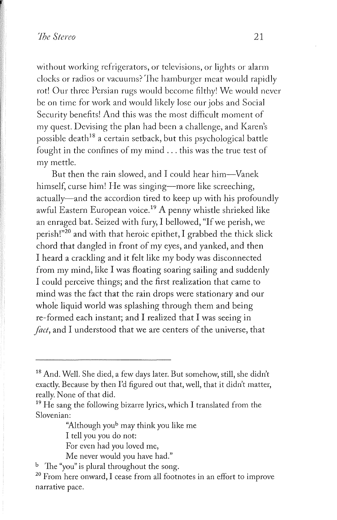without working refrigerators, or televisions, or lights or alarm clocks or radios or vacuums? The hamburger meat would rapidly rot! Our three Persian rugs would become filthy! We would never be on time for work and would likely lose our jobs and Social Security benefits! And this was the most difficult moment of my quest. Devising the plan had been a challenge, and Karen's possible death<sup>18</sup> a certain setback, but this psychological battle fought in the confines of my mind ... this was the true test of my mettle.

But then the rain slowed, and I could hear him-Vanek himself, curse him! He was singing—more like screeching, actually-and the accordion tired to keep up with his profoundly awful Eastern European voice.<sup>19</sup> A penny whistle shrieked like an enraged bat. Seized with fury, I bellowed, "If we perish, we perish!"20 and with that heroic epithet, I grabbed the thick slick chord that dangled in front of my eyes, and yanked, and then I heard a crackling and it felt like my body was disconnected from my mind, like I was floating soaring sailing and suddenly I could perceive things; and the first realization that came to mind was the fact that the rain drops were stationary and our whole liquid world was splashing through them and being re-formed each instant; and I realized that I was seeing in *fact,* and I understood that we are centers of the universe, that

"Although youb may think you like me

I tell you you do not:

For even had you loved me,

Me never would you have had."

<sup>b</sup> The "you" is plural throughout the song.

2 ° From here onward, I cease from all footnotes in an effort to improve narrative pace.

<sup>18</sup> And. Well. She died, a few days later. But somehow, still, she didn't exactly. Because by then I'd figured out that, well, that it didn't matter, really. None of that did.<br><sup>19</sup> He sang the following bizarre lyrics, which I translated from the

Slovenian: